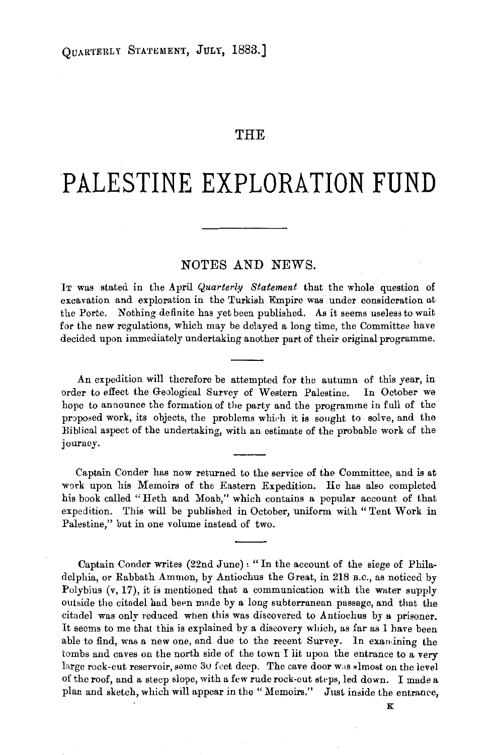## THE

## **PALESTINE EXPLORATION FUND**

## NOTES AND NEWS.

IT was stated in the April *Quarterly Statement* that the whole question of excavation and exploration in the Turkish Empire was under consideration at the Porte. Nothing definite has yet been published. As it seems useless to wait for the new regulations, which may be delayed a long time, the Committee have decided upon immediately undertaking another part of their original programme.

An expedition will therefore be attempted for the autumn of this year, in order to effect the Geological Survey of Western Palestine. In October we hope to announce the formation of the party and the programme in full of the proposed work, its objects, the problems which it is sought to solve, and the Biblical aspect of the undertaking, with an estimate of the probable work of the journey.

Captain Conder has now returned to the service of the Committee, and is at work upon his Memoirs of the Eastern Expedition. He has also completed his book called "Heth and Moab," which contains a popular account of that expedition. This will be published in October, uniform with" Tent Work in Palestine," but in one volume instead of two.

Captain Conder writes (22nd June): "In the account of the siege of Philadelphia, or Rabbath Ammon, by Antiochus the Great, in 218 B.C., as noticed by Polybius  $(v, 17)$ , it is mentioned that a communication with the water supply outside the citadel had been made by a long subterranean passage, and that the citadel was only reduced when this was discovered to Antiochus by a prisoner. It seems to me that this is explained by a discovery which, as far as I have been able to find, was a new one, and due to the recent Survey. In examining the tombs and caves on the north side of the town I lit upon the entrance to a very large rock-cut reservoir, some  $30$  feet deep. The cave door was almost on the level of the roof, and a steep slope, with a few rude rock-cut steps, led down. I made a plan and sketch, which will appear in the "Memoirs." Just inside the entrance,

K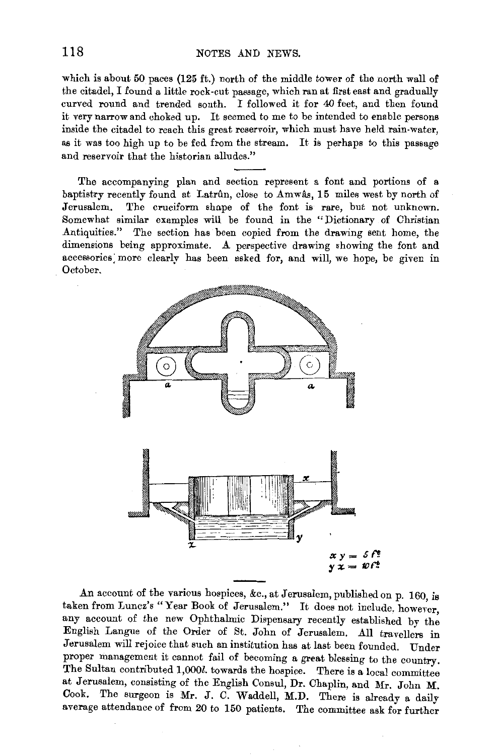which is about 50 paces (125 ft.) north of the middle tower of the north wall of the citadel, I found a little rock-cut passage, which ran at first east and gradually curved round and trended south. I followed it for 40 feet, and then found it very narrow and choked up. It seemed to me to be intended to enable persons inside the citadel to reach this great reservoir, which must have held rain-water, as it was too high up to be fed from the stream. It is perhaps to this passage and reservoir that the historian alludes."

The accompanying plan and section represent a font and portions of a baptistry recently found at Latrun, close to Amwas, 15 miles west by north of Jerusalem. The cruciform shape of the font is rare, but not unknown. Somewhat similar examples will be found in the "Dictionary of Christian Antiquities." The section has been copied from the drawing sent home, the dimensions being approximate. A perspective drawing showing the font and accessories: more clearly has been usked for, and will, we hope, be given in October.



An account of the various hospices, &c., at Jerusalem, published on p. 160, is taken from Luncz's "Year Book of Jerusalem." It does not include, however, any account of the new Ophthalmic Dispensary recently established by the English Langue of the Order of St. John of Jerusalem. All travellers in Jerusalem will rejoice that such an institution has at last been founded. Under proper management it cannot fail of becoming a great blessing to the country. The Sultan contributed 1,000l. towards the hospice. There is a local committee at Jerusalem, consisting of the English Consul, Dr. Chaplin, and Mr. John M. Cook. The surgeon is Mr. J. C. Waddell, M.D. There is already a daily average attendance of from 20 to 150 patients. The committee ask for further